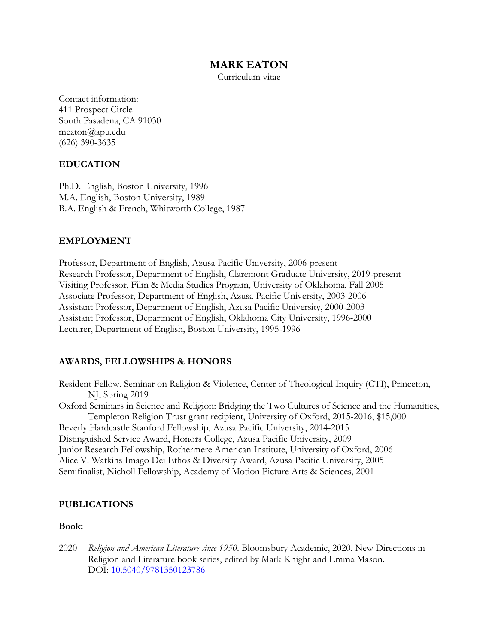# **MARK EATON**

Curriculum vitae

Contact information: 411 Prospect Circle South Pasadena, CA 91030 meaton@apu.edu (626) 390-3635

## **EDUCATION**

Ph.D. English, Boston University, 1996 M.A. English, Boston University, 1989 B.A. English & French, Whitworth College, 1987

## **EMPLOYMENT**

Professor, Department of English, Azusa Pacific University, 2006-present Research Professor, Department of English, Claremont Graduate University, 2019-present Visiting Professor, Film & Media Studies Program, University of Oklahoma, Fall 2005 Associate Professor, Department of English, Azusa Pacific University, 2003-2006 Assistant Professor, Department of English, Azusa Pacific University, 2000-2003 Assistant Professor, Department of English, Oklahoma City University, 1996-2000 Lecturer, Department of English, Boston University, 1995-1996

## **AWARDS, FELLOWSHIPS & HONORS**

Resident Fellow, Seminar on Religion & Violence, Center of Theological Inquiry (CTI), Princeton, NJ, Spring 2019

Oxford Seminars in Science and Religion: Bridging the Two Cultures of Science and the Humanities, Templeton Religion Trust grant recipient, University of Oxford, 2015-2016, \$15,000

Beverly Hardcastle Stanford Fellowship, Azusa Pacific University, 2014-2015 Distinguished Service Award, Honors College, Azusa Pacific University, 2009 Junior Research Fellowship, Rothermere American Institute, University of Oxford, 2006 Alice V. Watkins Imago Dei Ethos & Diversity Award, Azusa Pacific University, 2005 Semifinalist, Nicholl Fellowship, Academy of Motion Picture Arts & Sciences, 2001

## **PUBLICATIONS**

#### **Book:**

2020 *Religion and American Literature since 1950*. Bloomsbury Academic, 2020. New Directions in Religion and Literature book series, edited by Mark Knight and Emma Mason. DOI: 10.5040/9781350123786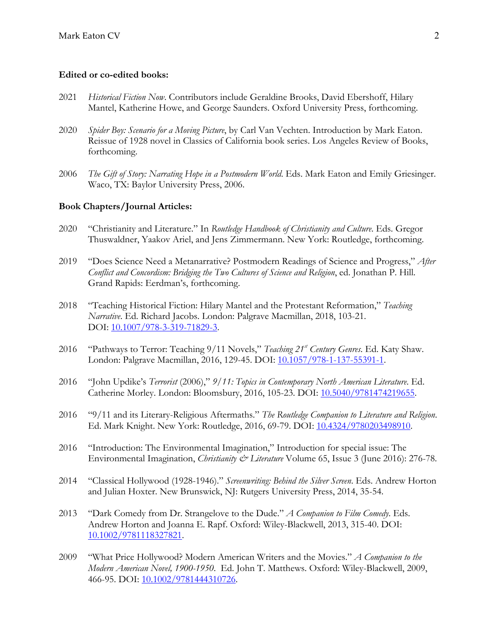#### **Edited or co-edited books:**

- 2021 *Historical Fiction Now*. Contributors include Geraldine Brooks, David Ebershoff, Hilary Mantel, Katherine Howe, and George Saunders. Oxford University Press, forthcoming.
- 2020 *Spider Boy: Scenario for a Moving Picture*, by Carl Van Vechten. Introduction by Mark Eaton. Reissue of 1928 novel in Classics of California book series. Los Angeles Review of Books, forthcoming.
- 2006 *The Gift of Story: Narrating Hope in a Postmodern World*. Eds. Mark Eaton and Emily Griesinger. Waco, TX: Baylor University Press, 2006.

## **Book Chapters/Journal Articles:**

- 2020 "Christianity and Literature." In *Routledge Handbook of Christianity and Culture*. Eds. Gregor Thuswaldner, Yaakov Ariel, and Jens Zimmermann. New York: Routledge, forthcoming.
- 2019 "Does Science Need a Metanarrative? Postmodern Readings of Science and Progress," *After Conflict and Concordism: Bridging the Two Cultures of Science and Religion*, ed. Jonathan P. Hill. Grand Rapids: Eerdman's, forthcoming.
- 2018 "Teaching Historical Fiction: Hilary Mantel and the Protestant Reformation," *Teaching Narrative*. Ed. Richard Jacobs. London: Palgrave Macmillan, 2018, 103-21. DOI: 10.1007/978-3-319-71829-3.
- 2016 "Pathways to Terror: Teaching 9/11 Novels," *Teaching 21st Century Genres*. Ed. Katy Shaw. London: Palgrave Macmillan, 2016, 129-45. DOI: 10.1057/978-1-137-55391-1.
- 2016 "John Updike's *Terrorist* (2006)," *9/11: Topics in Contemporary North American Literature*. Ed. Catherine Morley. London: Bloomsbury, 2016, 105-23. DOI: 10.5040/9781474219655.
- 2016 "9/11 and its Literary-Religious Aftermaths." *The Routledge Companion to Literature and Religion*. Ed. Mark Knight. New York: Routledge, 2016, 69-79. DOI: 10.4324/9780203498910.
- 2016 "Introduction: The Environmental Imagination," Introduction for special issue: The Environmental Imagination, *Christianity & Literature* Volume 65, Issue 3 (June 2016): 276-78.
- 2014 "Classical Hollywood (1928-1946)." *Screenwriting: Behind the Silver Screen*. Eds. Andrew Horton and Julian Hoxter. New Brunswick, NJ: Rutgers University Press, 2014, 35-54.
- 2013 "Dark Comedy from Dr. Strangelove to the Dude." *A Companion to Film Comedy*. Eds. Andrew Horton and Joanna E. Rapf. Oxford: Wiley-Blackwell, 2013, 315-40. DOI: 10.1002/9781118327821.
- 2009 "What Price Hollywood? Modern American Writers and the Movies." *A Companion to the Modern American Novel, 1900-1950*. Ed. John T. Matthews. Oxford: Wiley-Blackwell, 2009, 466-95. DOI: 10.1002/9781444310726.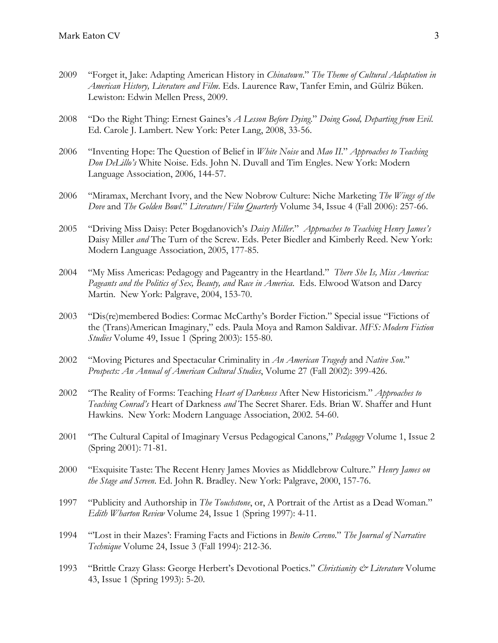- 2009 "Forget it, Jake: Adapting American History in *Chinatown*." *The Theme of Cultural Adaptation in American History, Literature and Film*. Eds. Laurence Raw, Tanfer Emin, and Gülriz Büken. Lewiston: Edwin Mellen Press, 2009.
- 2008 "Do the Right Thing: Ernest Gaines's *A Lesson Before Dying*." *Doing Good, Departing from Evil*. Ed. Carole J. Lambert. New York: Peter Lang, 2008, 33-56.
- 2006 "Inventing Hope: The Question of Belief in *White Noise* and *Mao II*." *Approaches to Teaching Don DeLillo's* White Noise. Eds. John N. Duvall and Tim Engles. New York: Modern Language Association, 2006, 144-57.
- 2006 "Miramax, Merchant Ivory, and the New Nobrow Culture: Niche Marketing *The Wings of the Dove* and *The Golden Bowl*." *Literature/Film Quarterly* Volume 34, Issue 4 (Fall 2006): 257-66.
- 2005 "Driving Miss Daisy: Peter Bogdanovich's *Daisy Miller*." *Approaches to Teaching Henry James's*  Daisy Miller *and* The Turn of the Screw. Eds. Peter Biedler and Kimberly Reed. New York: Modern Language Association, 2005, 177-85.
- 2004 "My Miss Americas: Pedagogy and Pageantry in the Heartland." *There She Is, Miss America: Pageants and the Politics of Sex, Beauty, and Race in America*. Eds. Elwood Watson and Darcy Martin. New York: Palgrave, 2004, 153-70.
- 2003 "Dis(re)membered Bodies: Cormac McCarthy's Border Fiction." Special issue "Fictions of the (Trans)American Imaginary," eds. Paula Moya and Ramon Saldivar. *MFS: Modern Fiction Studies* Volume 49, Issue 1 (Spring 2003): 155-80.
- 2002 "Moving Pictures and Spectacular Criminality in *An American Tragedy* and *Native Son*." *Prospects: An Annual of American Cultural Studies*, Volume 27 (Fall 2002): 399-426.
- 2002 "The Reality of Forms: Teaching *Heart of Darkness* After New Historicism." *Approaches to Teaching Conrad's* Heart of Darkness *and* The Secret Sharer. Eds. Brian W. Shaffer and Hunt Hawkins. New York: Modern Language Association, 2002. 54-60.
- 2001 "The Cultural Capital of Imaginary Versus Pedagogical Canons," *Pedagogy* Volume 1, Issue 2 (Spring 2001): 71-81.
- 2000 "Exquisite Taste: The Recent Henry James Movies as Middlebrow Culture." *Henry James on the Stage and Screen*. Ed. John R. Bradley. New York: Palgrave, 2000, 157-76.
- 1997 "Publicity and Authorship in *The Touchstone*, or, A Portrait of the Artist as a Dead Woman." *Edith Wharton Review* Volume 24, Issue 1 (Spring 1997): 4-11.
- 1994 "'Lost in their Mazes': Framing Facts and Fictions in *Benito Cereno*." *The Journal of Narrative Technique* Volume 24, Issue 3 (Fall 1994): 212-36.
- 1993 "Brittle Crazy Glass: George Herbert's Devotional Poetics." *Christianity & Literature* Volume 43, Issue 1 (Spring 1993): 5-20.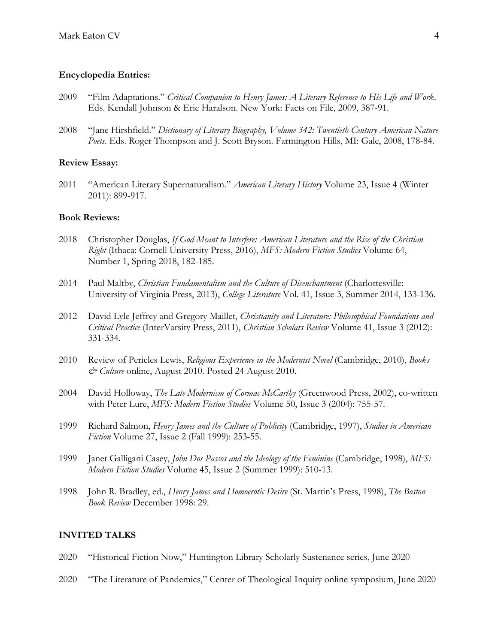#### **Encyclopedia Entries:**

- 2009 "Film Adaptations." *Critical Companion to Henry James: A Literary Reference to His Life and Work*. Eds. Kendall Johnson & Eric Haralson. New York: Facts on File, 2009, 387-91.
- 2008 "Jane Hirshfield." *Dictionary of Literary Biography, Volume 342: Twentieth-Century American Nature Poets*. Eds. Roger Thompson and J. Scott Bryson. Farmington Hills, MI: Gale, 2008, 178-84.

#### **Review Essay:**

2011 "American Literary Supernaturalism." *American Literary History* Volume 23, Issue 4 (Winter 2011): 899-917.

#### **Book Reviews:**

- 2018 Christopher Douglas, *If God Meant to Interfere: American Literature and the Rise of the Christian Right* (Ithaca: Cornell University Press, 2016), *MFS: Modern Fiction Studies* Volume 64, Number 1, Spring 2018, 182-185.
- 2014 Paul Maltby, *Christian Fundamentalism and the Culture of Disenchantment* (Charlottesville: University of Virginia Press, 2013), *College Literature* Vol. 41, Issue 3, Summer 2014, 133-136.
- 2012 David Lyle Jeffrey and Gregory Maillet, *Christianity and Literature: Philosophical Foundations and Critical Practice* (InterVarsity Press, 2011), *Christian Scholars Review* Volume 41, Issue 3 (2012): 331-334.
- 2010 Review of Pericles Lewis, *Religious Experience in the Modernist Novel* (Cambridge, 2010), *Books & Culture* online, August 2010. Posted 24 August 2010.
- 2004 David Holloway, *The Late Modernism of Cormac McCarthy* (Greenwood Press, 2002), co-written with Peter Lure, *MFS: Modern Fiction Studies* Volume 50, Issue 3 (2004): 755-57.
- 1999 Richard Salmon, *Henry James and the Culture of Publicity* (Cambridge, 1997), *Studies in American Fiction* Volume 27, Issue 2 (Fall 1999): 253-55.
- 1999 Janet Galligani Casey, *John Dos Passos and the Ideology of the Feminine* (Cambridge, 1998), *MFS: Modern Fiction Studies* Volume 45, Issue 2 (Summer 1999): 510-13.
- 1998 John R. Bradley, ed., *Henry James and Homoerotic Desire* (St. Martin's Press, 1998), *The Boston Book Review* December 1998: 29.

### **INVITED TALKS**

- 2020 "Historical Fiction Now," Huntington Library Scholarly Sustenance series, June 2020
- 2020 "The Literature of Pandemics," Center of Theological Inquiry online symposium, June 2020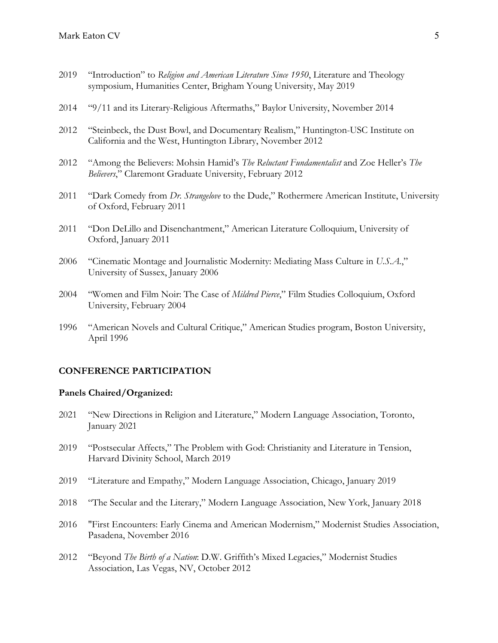- 2019 "Introduction" to *Religion and American Literature Since 1950*, Literature and Theology symposium, Humanities Center, Brigham Young University, May 2019
- 2014 "9/11 and its Literary-Religious Aftermaths," Baylor University, November 2014
- 2012 "Steinbeck, the Dust Bowl, and Documentary Realism," Huntington-USC Institute on California and the West, Huntington Library, November 2012
- 2012 "Among the Believers: Mohsin Hamid's *The Reluctant Fundamentalist* and Zoe Heller's *The Believers*," Claremont Graduate University, February 2012
- 2011 "Dark Comedy from *Dr. Strangelove* to the Dude," Rothermere American Institute, University of Oxford, February 2011
- 2011 "Don DeLillo and Disenchantment," American Literature Colloquium, University of Oxford, January 2011
- 2006 "Cinematic Montage and Journalistic Modernity: Mediating Mass Culture in *U.S.A.*," University of Sussex, January 2006
- 2004 "Women and Film Noir: The Case of *Mildred Pierce*," Film Studies Colloquium, Oxford University, February 2004
- 1996 "American Novels and Cultural Critique," American Studies program, Boston University, April 1996

### **CONFERENCE PARTICIPATION**

### **Panels Chaired/Organized:**

- 2021 "New Directions in Religion and Literature," Modern Language Association, Toronto, January 2021
- 2019 "Postsecular Affects," The Problem with God: Christianity and Literature in Tension, Harvard Divinity School, March 2019
- 2019 "Literature and Empathy," Modern Language Association, Chicago, January 2019
- 2018 "The Secular and the Literary," Modern Language Association, New York, January 2018
- 2016 "First Encounters: Early Cinema and American Modernism," Modernist Studies Association, Pasadena, November 2016
- 2012 "Beyond *The Birth of a Nation*: D.W. Griffith's Mixed Legacies," Modernist Studies Association, Las Vegas, NV, October 2012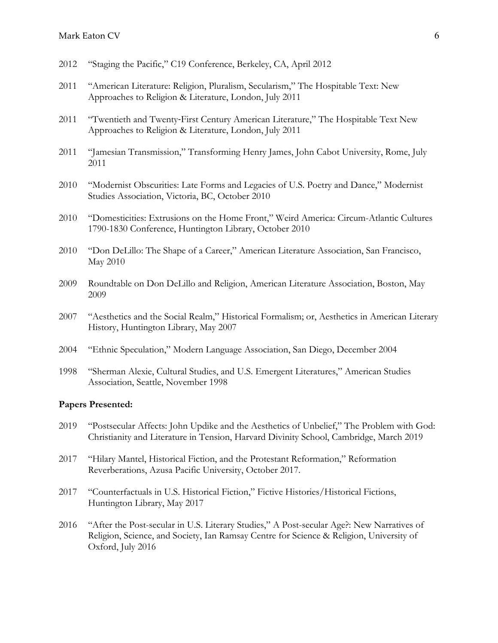- 2012 "Staging the Pacific," C19 Conference, Berkeley, CA, April 2012
- 2011 "American Literature: Religion, Pluralism, Secularism," The Hospitable Text: New Approaches to Religion & Literature, London, July 2011
- 2011 "Twentieth and Twenty‐First Century American Literature," The Hospitable Text New Approaches to Religion & Literature, London, July 2011
- 2011 "Jamesian Transmission," Transforming Henry James, John Cabot University, Rome, July 2011
- 2010 "Modernist Obscurities: Late Forms and Legacies of U.S. Poetry and Dance," Modernist Studies Association, Victoria, BC, October 2010
- 2010 "Domesticities: Extrusions on the Home Front," Weird America: Circum-Atlantic Cultures 1790-1830 Conference, Huntington Library, October 2010
- 2010 "Don DeLillo: The Shape of a Career," American Literature Association, San Francisco, May 2010
- 2009 Roundtable on Don DeLillo and Religion, American Literature Association, Boston, May 2009
- 2007 "Aesthetics and the Social Realm," Historical Formalism; or, Aesthetics in American Literary History, Huntington Library, May 2007
- 2004 "Ethnic Speculation," Modern Language Association, San Diego, December 2004
- 1998 "Sherman Alexie, Cultural Studies, and U.S. Emergent Literatures," American Studies Association, Seattle, November 1998

#### **Papers Presented:**

- 2019 "Postsecular Affects: John Updike and the Aesthetics of Unbelief," The Problem with God: Christianity and Literature in Tension, Harvard Divinity School, Cambridge, March 2019
- 2017 "Hilary Mantel, Historical Fiction, and the Protestant Reformation," Reformation Reverberations, Azusa Pacific University, October 2017.
- 2017 "Counterfactuals in U.S. Historical Fiction," Fictive Histories/Historical Fictions, Huntington Library, May 2017
- 2016 "After the Post-secular in U.S. Literary Studies," A Post-secular Age?: New Narratives of Religion, Science, and Society, Ian Ramsay Centre for Science & Religion, University of Oxford, July 2016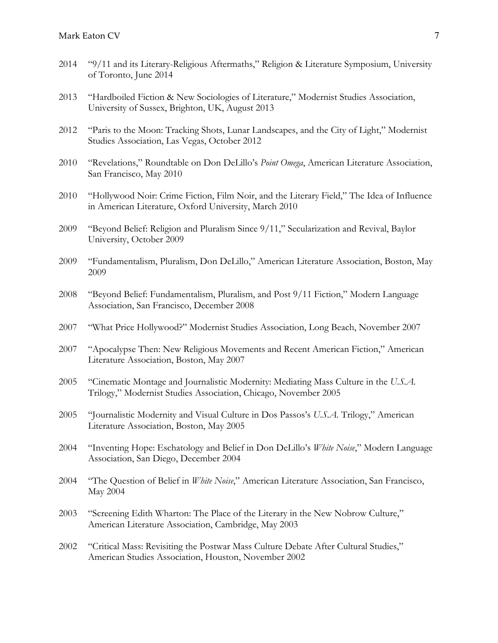- 2014 "9/11 and its Literary-Religious Aftermaths," Religion & Literature Symposium, University of Toronto, June 2014
- 2013 "Hardboiled Fiction & New Sociologies of Literature," Modernist Studies Association, University of Sussex, Brighton, UK, August 2013
- 2012 "Paris to the Moon: Tracking Shots, Lunar Landscapes, and the City of Light," Modernist Studies Association, Las Vegas, October 2012
- 2010 "Revelations," Roundtable on Don DeLillo's *Point Omega*, American Literature Association, San Francisco, May 2010
- 2010 "Hollywood Noir: Crime Fiction, Film Noir, and the Literary Field," The Idea of Influence in American Literature, Oxford University, March 2010
- 2009 "Beyond Belief: Religion and Pluralism Since 9/11," Secularization and Revival, Baylor University, October 2009
- 2009 "Fundamentalism, Pluralism, Don DeLillo," American Literature Association, Boston, May 2009
- 2008 "Beyond Belief: Fundamentalism, Pluralism, and Post 9/11 Fiction," Modern Language Association, San Francisco, December 2008
- 2007 "What Price Hollywood?" Modernist Studies Association, Long Beach, November 2007
- 2007 "Apocalypse Then: New Religious Movements and Recent American Fiction," American Literature Association, Boston, May 2007
- 2005 "Cinematic Montage and Journalistic Modernity: Mediating Mass Culture in the *U.S.A.*  Trilogy," Modernist Studies Association, Chicago, November 2005
- 2005 "Journalistic Modernity and Visual Culture in Dos Passos's *U.S.A.* Trilogy," American Literature Association, Boston, May 2005
- 2004 "Inventing Hope: Eschatology and Belief in Don DeLillo's *White Noise*," Modern Language Association, San Diego, December 2004
- 2004 "The Question of Belief in *White Noise*," American Literature Association, San Francisco, May 2004
- 2003 "Screening Edith Wharton: The Place of the Literary in the New Nobrow Culture," American Literature Association, Cambridge, May 2003
- 2002 "Critical Mass: Revisiting the Postwar Mass Culture Debate After Cultural Studies," American Studies Association, Houston, November 2002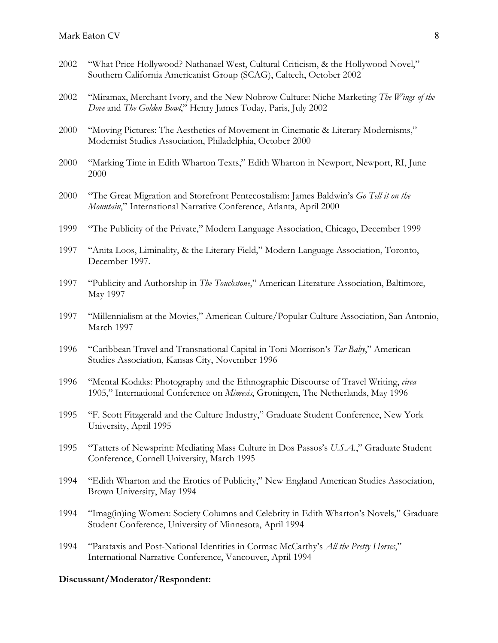- 2002 "What Price Hollywood? Nathanael West, Cultural Criticism, & the Hollywood Novel," Southern California Americanist Group (SCAG), Caltech, October 2002
- 2002 "Miramax, Merchant Ivory, and the New Nobrow Culture: Niche Marketing *The Wings of the Dove* and *The Golden Bowl*," Henry James Today, Paris, July 2002
- 2000 "Moving Pictures: The Aesthetics of Movement in Cinematic & Literary Modernisms," Modernist Studies Association, Philadelphia, October 2000
- 2000 "Marking Time in Edith Wharton Texts," Edith Wharton in Newport, Newport, RI, June 2000
- 2000 "The Great Migration and Storefront Pentecostalism: James Baldwin's *Go Tell it on the Mountain*," International Narrative Conference, Atlanta, April 2000
- 1999 "The Publicity of the Private," Modern Language Association, Chicago, December 1999
- 1997 "Anita Loos, Liminality, & the Literary Field," Modern Language Association, Toronto, December 1997.
- 1997 "Publicity and Authorship in *The Touchstone*," American Literature Association, Baltimore, May 1997
- 1997 "Millennialism at the Movies," American Culture/Popular Culture Association, San Antonio, March 1997
- 1996 "Caribbean Travel and Transnational Capital in Toni Morrison's *Tar Baby*," American Studies Association, Kansas City, November 1996
- 1996 "Mental Kodaks: Photography and the Ethnographic Discourse of Travel Writing, *circa* 1905," International Conference on *Mimesis*, Groningen, The Netherlands, May 1996
- 1995 "F. Scott Fitzgerald and the Culture Industry," Graduate Student Conference, New York University, April 1995
- 1995 "Tatters of Newsprint: Mediating Mass Culture in Dos Passos's *U.S.A.*," Graduate Student Conference, Cornell University, March 1995
- 1994 "Edith Wharton and the Erotics of Publicity," New England American Studies Association, Brown University, May 1994
- 1994 "Imag(in)ing Women: Society Columns and Celebrity in Edith Wharton's Novels," Graduate Student Conference, University of Minnesota, April 1994
- 1994 "Parataxis and Post-National Identities in Cormac McCarthy's *All the Pretty Horses*," International Narrative Conference, Vancouver, April 1994

#### **Discussant/Moderator/Respondent:**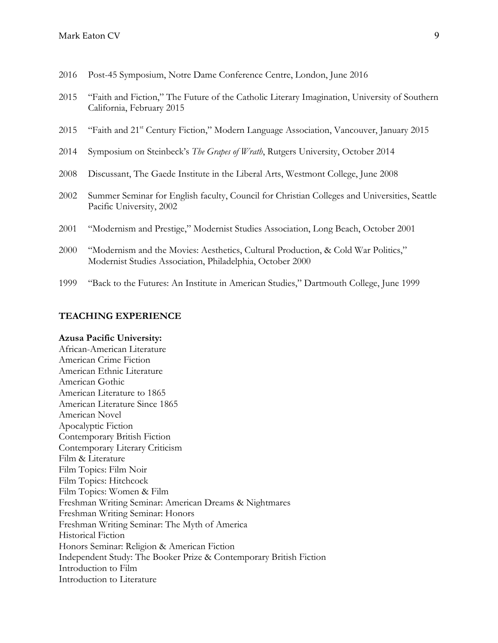- 2016 Post-45 Symposium, Notre Dame Conference Centre, London, June 2016
- 2015 "Faith and Fiction," The Future of the Catholic Literary Imagination, University of Southern California, February 2015
- 2015 "Faith and 21<sup>st</sup> Century Fiction," Modern Language Association, Vancouver, January 2015
- 2014 Symposium on Steinbeck's *The Grapes of Wrath*, Rutgers University, October 2014
- 2008 Discussant, The Gaede Institute in the Liberal Arts, Westmont College, June 2008
- 2002 Summer Seminar for English faculty, Council for Christian Colleges and Universities, Seattle Pacific University, 2002
- 2001 "Modernism and Prestige," Modernist Studies Association, Long Beach, October 2001
- 2000 "Modernism and the Movies: Aesthetics, Cultural Production, & Cold War Politics," Modernist Studies Association, Philadelphia, October 2000
- 1999 "Back to the Futures: An Institute in American Studies," Dartmouth College, June 1999

#### **TEACHING EXPERIENCE**

#### **Azusa Pacific University:**

African-American Literature American Crime Fiction American Ethnic Literature American Gothic American Literature to 1865 American Literature Since 1865 American Novel Apocalyptic Fiction Contemporary British Fiction Contemporary Literary Criticism Film & Literature Film Topics: Film Noir Film Topics: Hitchcock Film Topics: Women & Film Freshman Writing Seminar: American Dreams & Nightmares Freshman Writing Seminar: Honors Freshman Writing Seminar: The Myth of America Historical Fiction Honors Seminar: Religion & American Fiction Independent Study: The Booker Prize & Contemporary British Fiction Introduction to Film Introduction to Literature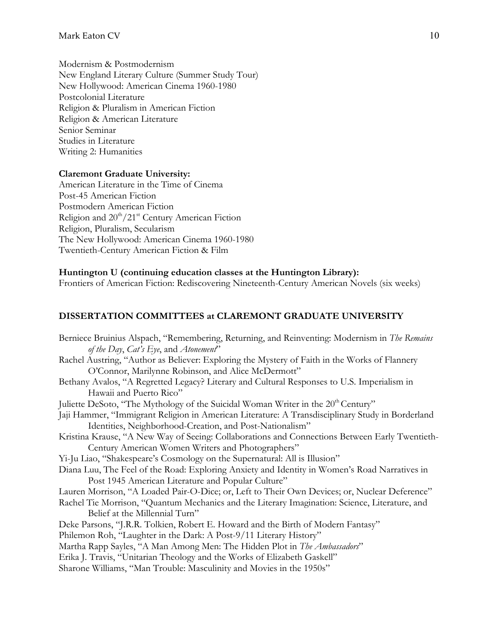Modernism & Postmodernism New England Literary Culture (Summer Study Tour) New Hollywood: American Cinema 1960-1980 Postcolonial Literature Religion & Pluralism in American Fiction Religion & American Literature Senior Seminar Studies in Literature Writing 2: Humanities

## **Claremont Graduate University:**

American Literature in the Time of Cinema Post-45 American Fiction Postmodern American Fiction Religion and  $20^{th}/21^{st}$  Century American Fiction Religion, Pluralism, Secularism The New Hollywood: American Cinema 1960-1980 Twentieth-Century American Fiction & Film

## **Huntington U (continuing education classes at the Huntington Library):**

Frontiers of American Fiction: Rediscovering Nineteenth-Century American Novels (six weeks)

## **DISSERTATION COMMITTEES at CLAREMONT GRADUATE UNIVERSITY**

Berniece Bruinius Alspach, "Remembering, Returning, and Reinventing: Modernism in *The Remains of the Day*, *Cat's Eye*, and *Atonement*" Rachel Austring, "Author as Believer: Exploring the Mystery of Faith in the Works of Flannery O'Connor, Marilynne Robinson, and Alice McDermott" Bethany Avalos, "A Regretted Legacy? Literary and Cultural Responses to U.S. Imperialism in Hawaii and Puerto Rico" Juliette DeSoto, "The Mythology of the Suicidal Woman Writer in the 20<sup>th</sup> Century" Jaji Hammer, "Immigrant Religion in American Literature: A Transdisciplinary Study in Borderland Identities, Neighborhood-Creation, and Post-Nationalism" Kristina Krause, "A New Way of Seeing: Collaborations and Connections Between Early Twentieth-Century American Women Writers and Photographers" Yi-Ju Liao, "Shakespeare's Cosmology on the Supernatural: All is Illusion" Diana Luu, The Feel of the Road: Exploring Anxiety and Identity in Women's Road Narratives in Post 1945 American Literature and Popular Culture" Lauren Morrison, "A Loaded Pair-O-Dice; or, Left to Their Own Devices; or, Nuclear Deference" Rachel Tie Morrison, "Quantum Mechanics and the Literary Imagination: Science, Literature, and Belief at the Millennial Turn" Deke Parsons, "J.R.R. Tolkien, Robert E. Howard and the Birth of Modern Fantasy" Philemon Roh, "Laughter in the Dark: A Post-9/11 Literary History" Martha Rapp Sayles, "A Man Among Men: The Hidden Plot in *The Ambassadors*" Erika J. Travis, "Unitarian Theology and the Works of Elizabeth Gaskell" Sharone Williams, "Man Trouble: Masculinity and Movies in the 1950s"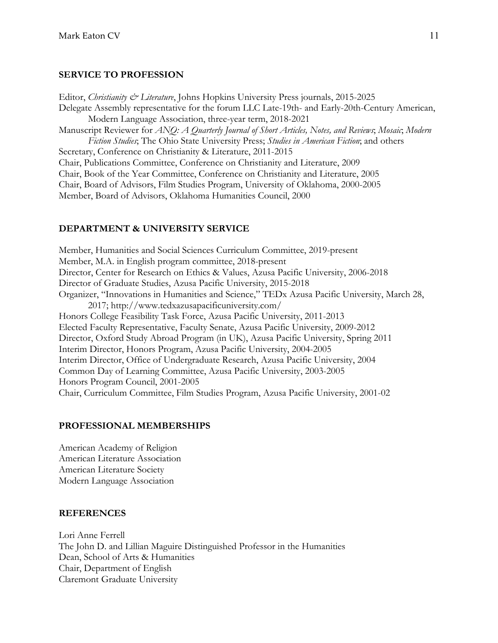## **SERVICE TO PROFESSION**

Editor, *Christianity & Literature*, Johns Hopkins University Press journals, 2015-2025 Delegate Assembly representative for the forum LLC Late-19th- and Early-20th-Century American, Modern Language Association, three-year term, 2018-2021 Manuscript Reviewer for *ANQ: A Quarterly Journal of Short Articles, Notes, and Reviews*; *Mosaic*; *Modern Fiction Studies*; The Ohio State University Press; *Studies in American Fiction*; and others Secretary, Conference on Christianity & Literature, 2011-2015 Chair, Publications Committee, Conference on Christianity and Literature, 2009 Chair, Book of the Year Committee, Conference on Christianity and Literature, 2005 Chair, Board of Advisors, Film Studies Program, University of Oklahoma, 2000-2005 Member, Board of Advisors, Oklahoma Humanities Council, 2000

# **DEPARTMENT & UNIVERSITY SERVICE**

Member, Humanities and Social Sciences Curriculum Committee, 2019-present Member, M.A. in English program committee, 2018-present Director, Center for Research on Ethics & Values, Azusa Pacific University, 2006-2018 Director of Graduate Studies, Azusa Pacific University, 2015-2018 Organizer, "Innovations in Humanities and Science," TEDx Azusa Pacific University, March 28, 2017; http://www.tedxazusapacificuniversity.com/ Honors College Feasibility Task Force, Azusa Pacific University, 2011-2013 Elected Faculty Representative, Faculty Senate, Azusa Pacific University, 2009-2012 Director, Oxford Study Abroad Program (in UK), Azusa Pacific University, Spring 2011 Interim Director, Honors Program, Azusa Pacific University, 2004-2005 Interim Director, Office of Undergraduate Research, Azusa Pacific University, 2004 Common Day of Learning Committee, Azusa Pacific University, 2003-2005 Honors Program Council, 2001-2005 Chair, Curriculum Committee, Film Studies Program, Azusa Pacific University, 2001-02

## **PROFESSIONAL MEMBERSHIPS**

American Academy of Religion American Literature Association American Literature Society Modern Language Association

## **REFERENCES**

Lori Anne Ferrell The John D. and Lillian Maguire Distinguished Professor in the Humanities Dean, School of Arts & Humanities Chair, Department of English Claremont Graduate University